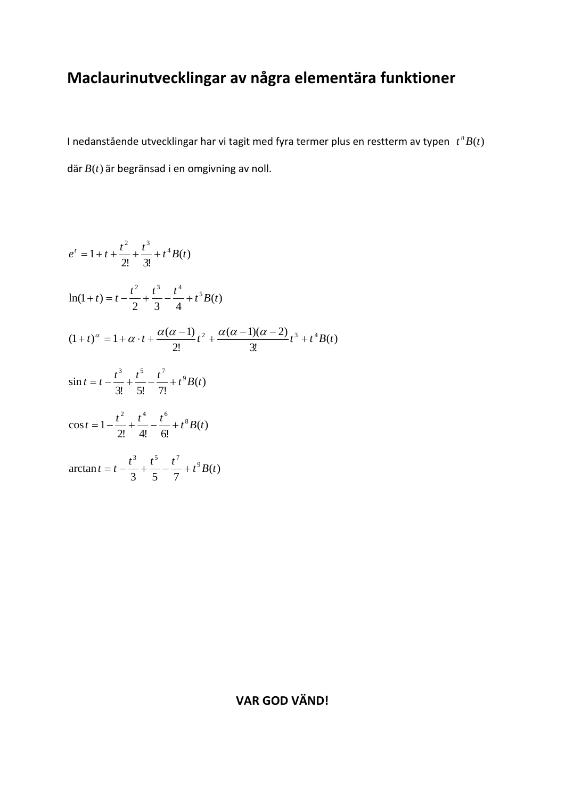## **Maclaurinutvecklingar av några elementära funktioner**

I nedanstående utvecklingar har vi tagit med fyra termer plus en restterm av typen *t B*(*t*) *<sup>n</sup>* där *B*(*t*) är begränsad i en omgivning av noll.

$$
e^{t} = 1 + t + \frac{t^{2}}{2!} + \frac{t^{3}}{3!} + t^{4}B(t)
$$
  
\n
$$
\ln(1+t) = t - \frac{t^{2}}{2} + \frac{t^{3}}{3} - \frac{t^{4}}{4} + t^{5}B(t)
$$
  
\n
$$
(1+t)^{\alpha} = 1 + \alpha \cdot t + \frac{\alpha(\alpha-1)}{2!}t^{2} + \frac{\alpha(\alpha-1)(\alpha-2)}{3!}t^{3} + t^{4}B(t)
$$
  
\n
$$
\sin t = t - \frac{t^{3}}{3!} + \frac{t^{5}}{5!} - \frac{t^{7}}{7!} + t^{9}B(t)
$$
  
\n
$$
\cos t = 1 - \frac{t^{2}}{2!} + \frac{t^{4}}{4!} - \frac{t^{6}}{6!} + t^{8}B(t)
$$
  
\n
$$
\arctan t = t - \frac{t^{3}}{3} + \frac{t^{5}}{5} - \frac{t^{7}}{7} + t^{9}B(t)
$$

## **VAR GOD VÄND!**